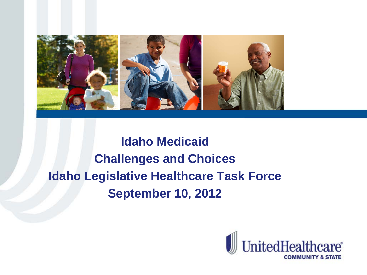

# **Idaho Medicaid Challenges and Choices Idaho Legislative Healthcare Task Force September 10, 2012**

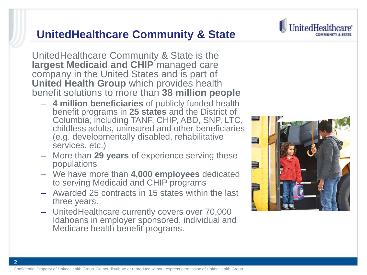#### Confidential Property of UnitedHealth Group. Do not distribute or reproduce without express permission of UnitedHealth Group.

2

#### **UnitedHealthcare Community & State**

UnitedHealthcare Community & State is the **largest Medicaid and CHIP** managed care company in the United States and is part of **United Health Group** which provides health benefit solutions to more than **38 million people**

- **4 million beneficiaries** of publicly funded health benefit programs in **25 states** and the District of Columbia, including TANF, CHIP, ABD, SNP, LTC, childless adults, uninsured and other beneficiaries (e.g. developmentally disabled, rehabilitative services, etc.)
- More than **29 years** of experience serving these populations
- We have more than **4,000 employees** dedicated to serving Medicaid and CHIP programs
- Awarded 25 contracts in 15 states within the last three years.
- UnitedHealthcare currently covers over 70,000 Idahoans in employer sponsored, individual and Medicare health benefit programs.



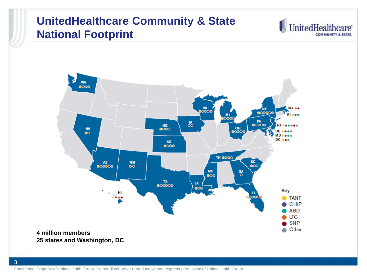### **UnitedHealthcare Community & State National Footprint**





**25 states and Washington, DC**

Confidential Property of UnitedHealth Group. Do not distribute or reproduce without express permission of UnitedHealth Group.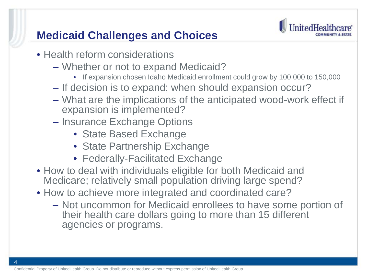# **Medicaid Challenges and Choices**



- Health reform considerations
	- Whether or not to expand Medicaid?
		- If expansion chosen Idaho Medicaid enrollment could grow by 100,000 to 150,000
	- If decision is to expand; when should expansion occur?
	- What are the implications of the anticipated wood-work effect if expansion is implemented?
	- Insurance Exchange Options
		- State Based Exchange
		- State Partnership Exchange
		- Federally-Facilitated Exchange
- How to deal with individuals eligible for both Medicaid and Medicare; relatively small population driving large spend?
- How to achieve more integrated and coordinated care?
	- Not uncommon for Medicaid enrollees to have some portion of their health care dollars going to more than 15 different agencies or programs.

4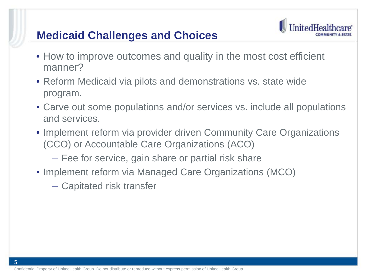### **Medicaid Challenges and Choices**



- How to improve outcomes and quality in the most cost efficient manner?
- Reform Medicaid via pilots and demonstrations vs. state wide program.
- Carve out some populations and/or services vs. include all populations and services.
- Implement reform via provider driven Community Care Organizations (CCO) or Accountable Care Organizations (ACO)
	- Fee for service, gain share or partial risk share
- Implement reform via Managed Care Organizations (MCO)
	- Capitated risk transfer

5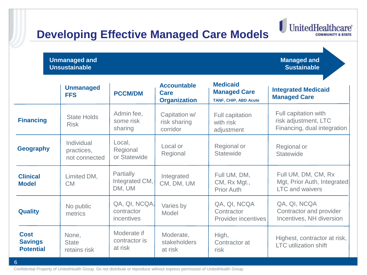# **Developing Effective Managed Care Models**

**Unmanaged and Unsustainable**

6

**Managed and Sustainable**

UnitedHealth

**ire** 

 $\textcolor{red}{\textbf{0}}$ 

|                                                   | <b>Unmanaged</b><br><b>FFS</b>            | <b>PCCM/DM</b>                                   | <b>Accountable</b><br><b>Care</b><br><b>Organization</b> | <b>Medicaid</b><br><b>Managed Care</b><br><b>TANF, CHIP, ABD Acute</b> | <b>Integrated Medicaid</b><br><b>Managed Care</b>                            |
|---------------------------------------------------|-------------------------------------------|--------------------------------------------------|----------------------------------------------------------|------------------------------------------------------------------------|------------------------------------------------------------------------------|
| <b>Financing</b>                                  | <b>State Holds</b><br><b>Risk</b>         | Admin fee,<br>some risk<br>sharing               | Capitation w/<br>risk sharing<br>corridor                | Full capitation<br>with risk<br>adjustment                             | Full capitation with<br>risk adjustment, LTC<br>Financing, dual integration  |
| <b>Geography</b>                                  | Individual<br>practices,<br>not connected | Local,<br>Regional<br>or Statewide               | Local or<br>Regional                                     | Regional or<br><b>Statewide</b>                                        | Regional or<br><b>Statewide</b>                                              |
| <b>Clinical</b><br><b>Model</b>                   | Limited DM,<br><b>CM</b>                  | <b>Partially</b><br>Integrated CM,<br>DM, UM     | Integrated<br>CM, DM, UM                                 | Full UM, DM,<br>CM, Rx Mgt.,<br><b>Prior Auth</b>                      | Full UM, DM, CM, Rx<br>Mgt, Prior Auth, Integrated<br><b>LTC</b> and waivers |
| <b>Quality</b>                                    | No public<br>metrics                      | QA, QI, NCQA,<br>contractor<br><i>incentives</i> | Varies by<br>Model                                       | QA, QI, NCQA<br>Contractor<br><b>Provider incentives</b>               | QA, QI, NCQA<br>Contractor and provider<br>Incentives, NH diversion          |
| <b>Cost</b><br><b>Savings</b><br><b>Potential</b> | None,<br><b>State</b><br>retains risk     | Moderate if<br>contractor is<br>at risk          | Moderate,<br>stakeholders<br>at risk                     | High,<br>Contractor at<br>risk                                         | Highest, contractor at risk,<br><b>LTC</b> utilization shift                 |

Confidential Property of UnitedHealth Group. Do not distribute or reproduce without express permission of UnitedHealth Group.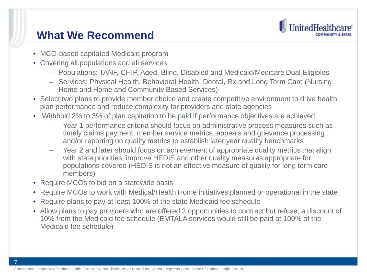

#### **What We Recommend**

- MCO-based capitated Medicaid program
- Covering all populations and all services
	- Populations: TANF, CHIP, Aged, Blind, Disabled and Medicaid/Medicare Dual Eligibles
	- Services: Physical Health, Behavioral Health, Dental, Rx and Long Term Care (Nursing Home and Home and Community Based Services)
- Select two plans to provide member choice and create competitive environment to drive health plan performance and reduce complexity for providers and state agencies
- Withhold 2% to 3% of plan capitation to be paid if performance objectives are achieved
	- Year 1 performance criteria should focus on administrative process measures such as timely claims payment, member service metrics, appeals and grievance processing and/or reporting on quality metrics to establish later year quality benchmarks
	- Year 2 and later should focus on achievement of appropriate quality metrics that align with state priorities, improve HEDIS and other quality measures appropriate for populations covered (HEDIS is not an effective measure of quality for long term care members)
- Require MCOs to bid on a statewide basis

7

- Require MCOs to work with Medical/Health Home initiatives planned or operational in the state
- Require plans to pay at least 100% of the state Medicaid fee schedule
- Allow plans to pay providers who are offered 3 opportunities to contract but refuse, a discount of 10% from the Medicaid fee schedule (EMTALA services would still be paid at 100% of the Medicaid fee schedule)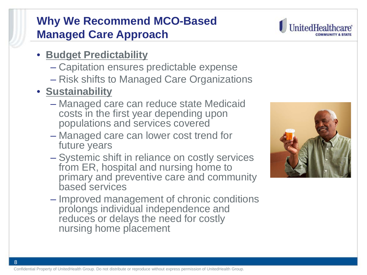# **Why We Recommend MCO-Based Managed Care Approach**

- **Budget Predictability**
	- Capitation ensures predictable expense
	- Risk shifts to Managed Care Organizations
- **Sustainability**
	- Managed care can reduce state Medicaid costs in the first year depending upon populations and services covered
	- Managed care can lower cost trend for future years
	- Systemic shift in reliance on costly services from ER, hospital and nursing home to primary and preventive care and community based services
	- Improved management of chronic conditions prolongs individual independence and reduces or delays the need for costly nursing home placement



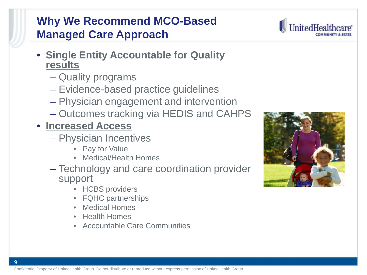#### Confidential Property of UnitedHealth Group. Do not distribute or reproduce without express permission of UnitedHealth Group.

# **Why We Recommend MCO-Based Managed Care Approach**

- **Single Entity Accountable for Quality results**
	- Quality programs
	- Evidence-based practice guidelines
	- Physician engagement and intervention
	- Outcomes tracking via HEDIS and CAHPS
- **Increased Access**
	- Physician Incentives
		- Pay for Value
		- Medical/Health Homes
	- Technology and care coordination provider support
		- HCBS providers
		- FQHC partnerships
		- Medical Homes
		- Health Homes
		- Accountable Care Communities



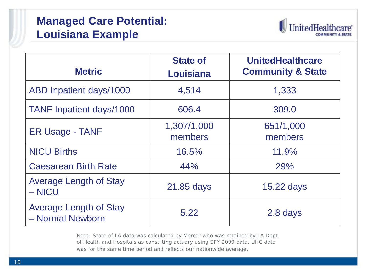# **Managed Care Potential: Louisiana Example**



| <b>Metric</b>                                     | <b>State of</b><br>Louisiana | <b>UnitedHealthcare</b><br><b>Community &amp; State</b> |
|---------------------------------------------------|------------------------------|---------------------------------------------------------|
| ABD Inpatient days/1000                           | 4,514                        | 1,333                                                   |
| <b>TANF Inpatient days/1000</b>                   | 606.4                        | 309.0                                                   |
| <b>ER Usage - TANF</b>                            | 1,307/1,000<br>members       | 651/1,000<br>members                                    |
| <b>NICU Births</b>                                | 16.5%                        | 11.9%                                                   |
| <b>Caesarean Birth Rate</b>                       | 44%                          | 29%                                                     |
| <b>Average Length of Stay</b><br>$-$ NICU         | 21.85 days                   | 15.22 days                                              |
| <b>Average Length of Stay</b><br>- Normal Newborn | 5.22                         | 2.8 days                                                |

Note: State of LA data was calculated by Mercer who was retained by LA Dept. of Health and Hospitals as consulting actuary using SFY 2009 data. UHC data was for the same time period and reflects our nationwide average.